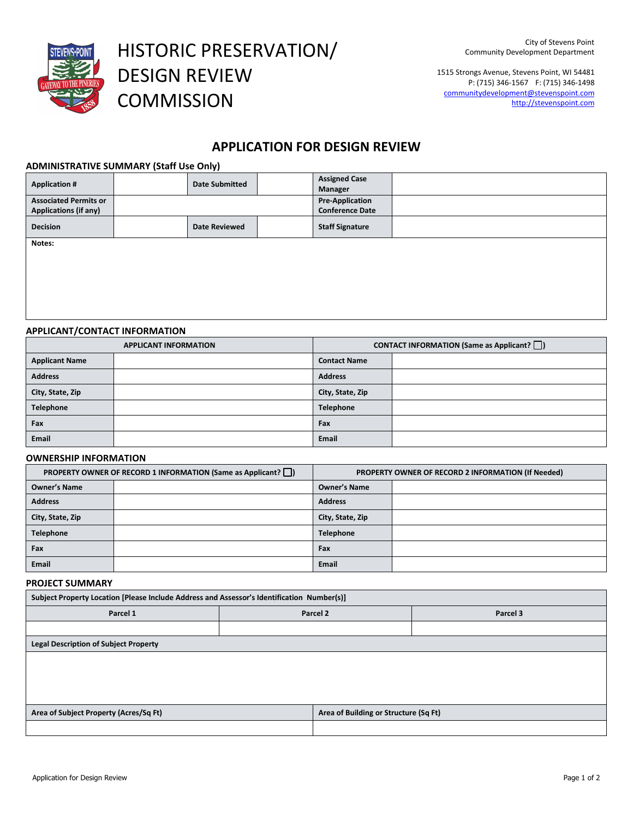

HISTORIC PRESERVATION/ DESIGN REVIEW **COMMISSION** 

1515 Strongs Avenue, Stevens Point, WI 54481 P: (715) 346-1567 F: (715) 346-1498 communitydevelopment@stevenspoint.com http://stevenspoint.com

## **APPLICATION FOR DESIGN REVIEW**

## **ADMINISTRATIVE SUMMARY (Staff Use Only)**

| <b>Application #</b>                                         | <b>Date Submitted</b> | <b>Assigned Case</b><br>Manager                  |  |
|--------------------------------------------------------------|-----------------------|--------------------------------------------------|--|
| <b>Associated Permits or</b><br><b>Applications (if any)</b> |                       | <b>Pre-Application</b><br><b>Conference Date</b> |  |
| <b>Decision</b>                                              | <b>Date Reviewed</b>  | <b>Staff Signature</b>                           |  |
| Notes:                                                       |                       |                                                  |  |

**APPLICANT/CONTACT INFORMATION**

| <b>APPLICANT INFORMATION</b> |  | <b>CONTACT INFORMATION (Same as Applicant?</b> $\Box$ ) |  |  |
|------------------------------|--|---------------------------------------------------------|--|--|
| <b>Applicant Name</b>        |  | <b>Contact Name</b>                                     |  |  |
| <b>Address</b>               |  | <b>Address</b>                                          |  |  |
| City, State, Zip             |  | City, State, Zip                                        |  |  |
| Telephone                    |  | Telephone                                               |  |  |
| Fax                          |  | Fax                                                     |  |  |
| Email                        |  | Email                                                   |  |  |

## **OWNERSHIP INFORMATION**

| <b>PROPERTY OWNER OF RECORD 1 INFORMATION (Same as Applicant?</b> ) |  | PROPERTY OWNER OF RECORD 2 INFORMATION (If Needed) |  |
|---------------------------------------------------------------------|--|----------------------------------------------------|--|
| <b>Owner's Name</b>                                                 |  | <b>Owner's Name</b>                                |  |
| <b>Address</b>                                                      |  | <b>Address</b>                                     |  |
| City, State, Zip                                                    |  | City, State, Zip                                   |  |
| <b>Telephone</b>                                                    |  | Telephone                                          |  |
| Fax                                                                 |  | Fax                                                |  |
| <b>Email</b>                                                        |  | Email                                              |  |

## **PROJECT SUMMARY**

| Subject Property Location [Please Include Address and Assessor's Identification Number(s)] |  |  |  |  |
|--------------------------------------------------------------------------------------------|--|--|--|--|
| Parcel 1<br>Parcel 3<br>Parcel 2                                                           |  |  |  |  |
|                                                                                            |  |  |  |  |
| <b>Legal Description of Subject Property</b>                                               |  |  |  |  |
|                                                                                            |  |  |  |  |
|                                                                                            |  |  |  |  |

| Area of Subject Property (Acres/Sq Ft) | Area of Building or Structure (Sq Ft) |  |
|----------------------------------------|---------------------------------------|--|
|                                        |                                       |  |